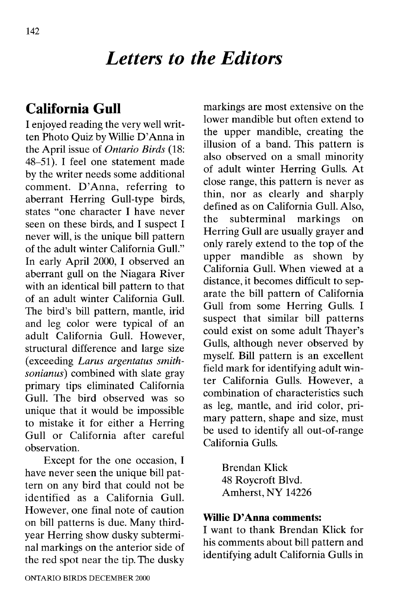# *Letters to the Editors*

## **California Gull**

I enjoyed reading the very well written Photo Quiz by Willie D'Anna in the April issue of *Ontario Birds (18:* 48-51). I feel one statement made by the writer needs some additional comment. D'Anna, referring to aberrant Herring Gull-type birds, states "one character I have never seen on these birds, and I suspect I never will, is the unique bill pattern of the adult winter California Gull." In early April 2000, I observed an aberrant gull on the Niagara River with an identical bill pattern to that of an adult winter California Gull. The bird's bill pattern, mantle, irid and leg color were typical of an adult California Gull. However, structural difference and large size (exceeding *Larus argentatus smith*sonianus) combined with slate gray primary tips eliminated California Gull. The bird observed was so unique that it would be impossible to mistake it for either a Herring Gull or California after careful observation.

Except for the one occasion, I have never seen the unique bill pattern on any bird that could not be identified as a California Gull. However, one final note of caution on bill patterns is due. Many thirdyear Herring show dusky subterminal markings on the anterior side of the red spot near the tip. The dusky markings are most extensive on the lower mandible but often extend to the upper mandible, creating the illusion of a band. This pattern is also observed on a small minority of adult winter Herring Gulls. At close range, this pattern is never as thin, nor as clearly and sharply defined as on California Gull. Also, the subterminal markings on Herring Gull are usually grayer and only rarely extend to the top of the upper mandible as shown by California Gull. When viewed at a distance, it becomes difficult to separate the bill pattern of California Gull from some Herring Gulls. I suspect that similar bill patterns could exist on some adult Thayer's Gulls, although never observed by myself. Bill pattern is an excellent field mark for identifying adult winter California Gulls. However a combination of characteristics such as leg, mantle, and irid color, primary pattern, shape and size, must be used to identify all out-of-range California Gulls.

> Brendan Klick 48 Roycroft Blvd. Amherst, NY 14226

#### **Willie D'Anna comments:**

I want to thank Brendan Klick for his comments about bill pattern and identifying adult California Gulls in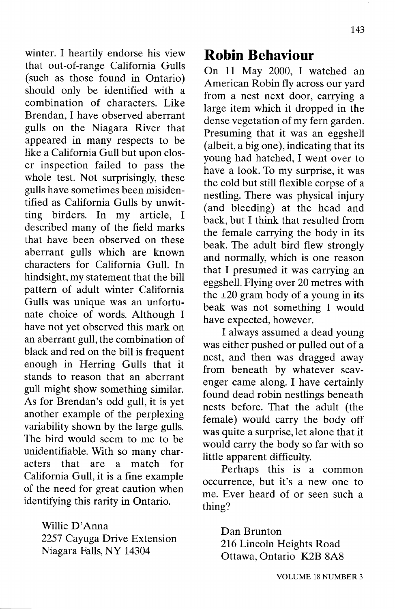143

winter. I heartily endorse his view that out-of-range California Gulls (such as those found in Ontario) should only be identified with a combination of characters. Like Brendan, I have observed aberrant gulls on the Niagara River that appeared in many respects to be like a California Gull but upon closer inspection failed to pass the whole test. Not surprisingly, these gulls have sometimes been misidentified as California Gulls by unwitting birders. In my article, I described many of the field marks that have been observed on these aberrant gulls which are known characters for California Gull. In hindsight, my statement that the bill pattern of adult winter California Gulls was unique was an unfortunate choice of words. Although I have not yet observed this mark on an aberrant gull, the combination of black and red on the bill is frequent enough in Herring Gulls that it stands to reason that an aberrant gull might show something similar. As for Brendan's odd gull, it is yet another example of the perplexing variability shown by the large gulls. The bird would seem to me to be unidentifiable. With so many characters that are a match for California Gull, it is a fine example of the need for great caution when identifying this rarity in Ontario.

> Willie D'Anna 2257 Cayuga Drive Extension Niagara Falls, NY 14304

### **Robin Behaviour**

On 11 May 2000, I watched an American Robin fly across our yard from a nest next door, carrying a large item which it dropped in the dense vegetation of my fern garden. Presuming that it was an eggshell (albeit, a big one), indicating that its young had hatched, I went over to have a look. To my surprise, it was the cold but still flexible corpse of a nestling. There was physical injury (and bleeding) at the head and back, but I think that resulted from the female carrying the body in its beak. The adult bird flew strongly and normally, which is one reason that I presumed it was carrying an eggshell. Flying over 20 metres with the  $\pm 20$  gram body of a young in its beak was not something I would have expected, however.

I always assumed a dead young was either pushed or pulled out of a nest, and then was dragged away from beneath by whatever scavenger came along. I have certainly found dead robin nestlings beneath nests before. That the adult (the female) would carry the body off was quite a surprise, let alone that it would carry the body so far with so little apparent difficulty.

Perhaps this is a common occurrence, but it's a new one to me. Ever heard of or seen such a thing?

> Dan Brunton 216 Lincoln Heights Road Ottawa, Ontario K2B 8A8